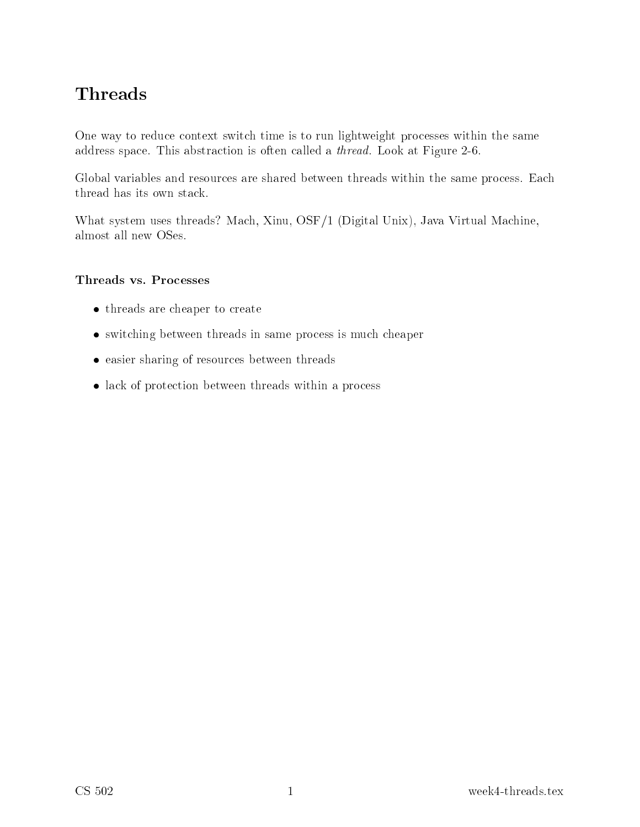# Threads

ontext switch time is to run light problem in the same is to run lightweight problem in the same is address space. This abstract a thread. This abstract a thread. Look at Figure 2-6. Look at Figure 2-6. Look at

es are shared between the same process. He same process with the same processes where processes in the same

What system uses threads? Ma
h, Xinu, OSF/1 (Digital Unix), Java Virtual Ma
hine,

#### Threads vs. Pro
esses

- threads are cheaper to create
- switching between threads in same process is much cheaper
- easier sharing of resources between threads
- lack of protection between threads within a process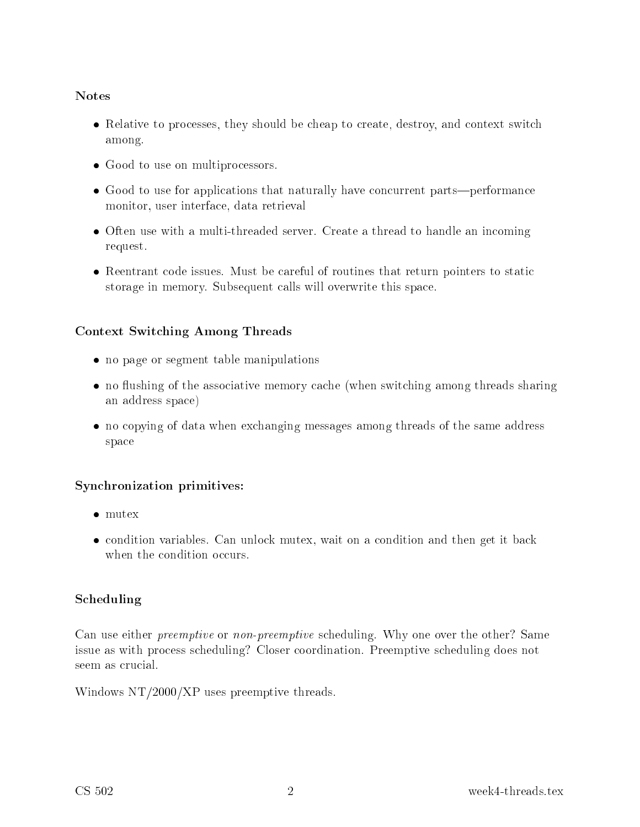#### Notes

- Relative to processes, they should be cheap to create, destroy, and context switch  $-$
- Good to use on multiprocessors.
- Good to use for applications that naturally have concurrent parts—performance monitor, user interfa
e, data retrieval
- Often use with a multi-threaded server. Create a thread to handle an incoming request.
- Reentrant code issues. Must be careful of routines that return pointers to static storage in memory. Subsequent this space of the space overwite this space of  $\sim$

### Context Swit
hing Among Threads

- no page or segment table manipulations
- no flushing of the associative memory cache (when switching among threads sharing an address space of the space of the space of the space of the space of the space of the space of the space of
- no copying of data when exchanging messages among threads of the same address spa
e

### Syn
hronization primitives:

- mutex
- condition variables. Can unlock mutex, wait on a condition and then get it back when the condition occurs.

### S
heduling

Can use either preemptive or non-preemptive s
heduling. Why one over the other? Same issue as with pro
ess s
heduling? Closer oordination. Preemptive s
heduling does not seem as crucial.

Windows NT/2000/XP uses preemptive threads.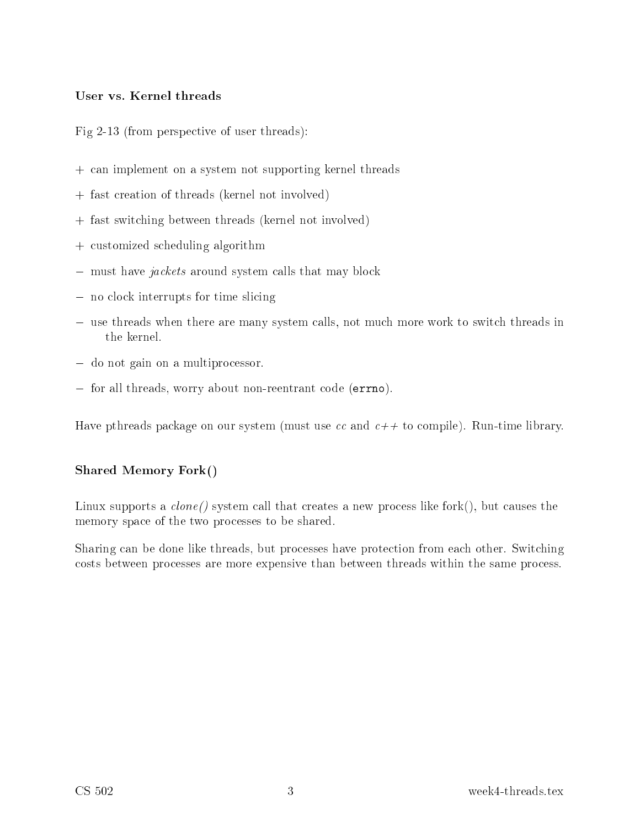#### User vs. Kernel threads

Fig 2-13 (from perspe
tive of user threads):

- $+$  and implement on a system notice threads threads threads threads a system in the supporting  $\sim$
- + fast reation of threads (kernel not involved)
- $\mathbf{f}$  fast switch switch switch switch switch switch switch switch switch switch switch switch switch switch switch switch switch switch switch switch switch switch switch switch switch switch switch switch switch swit
- + ustomized s
heduling algorithm
- $-$  must have *jackets* around system calls that may block
- no clock interrupts for time slicing
- use threads when there are many system calls, not much more work to switch threads in
- $-$  do not gain on a multiprocessor.
- for all threads, worry about non-reentrant code (errno).

Have pthreads pa
kage on our system (must use and ++ to ompile). Run-time library.

#### Shared Memory Fork()

Linux supports <sup>a</sup> lone() system all that reates <sup>a</sup> new pro
ess like fork(), but auses the memory spa
e of the two pro
esses to be shared.

sharing the done like the done like the protection from the college three college that the college osts between pro
esses are more expensive than between threads within the same pro
ess.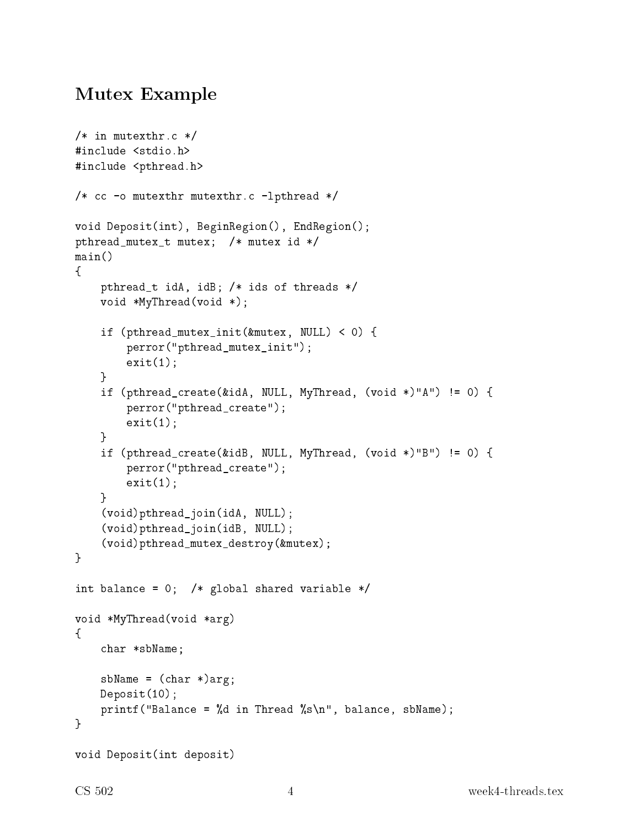## Mutex Example

```
/* in mutexthr.c */#in
lude <stdio.h>
#include <pthread.h>
/* cc -o mutexthr mutexthr.c -lpthread */
void Deposit(int), BeginRegion(), EndRegion();
pthread_mutex_t mutex; /* mutex id */
main()
\left\{ \right\}pthread_t idA, idB; /* ids of threads */
    void *MyThread(void *);
    if (pthread_mutex_init(&mutex, NULL) < 0) {
        perror("pthread_mutex_init");
        exit(1);}
    if (pthread_create(&idA, NULL, MyThread, (void *)"A") != 0) {
        perror("pthread_create");
        exit(1);}
    if (pthread_
reate(&idB, NULL, MyThread, (void *)"B") != 0) {
        perror("pthread_create");
        exit(1);}
    (void)pthread_join(idA, NULL);
    (void)pthread_join(idB, NULL);
    (void)pthread_mutex_destroy(&mutex);
}
int balance = 0; /* global shared variable */
void *MyThread(void *arg)
\mathcal{F}\simchar *sbName;
    sbName = (char *)arg;Deposit(10);
    printf("Balance = %d in Thread %s\n", balance, sbName);
}
void Deposit(int deposit)
```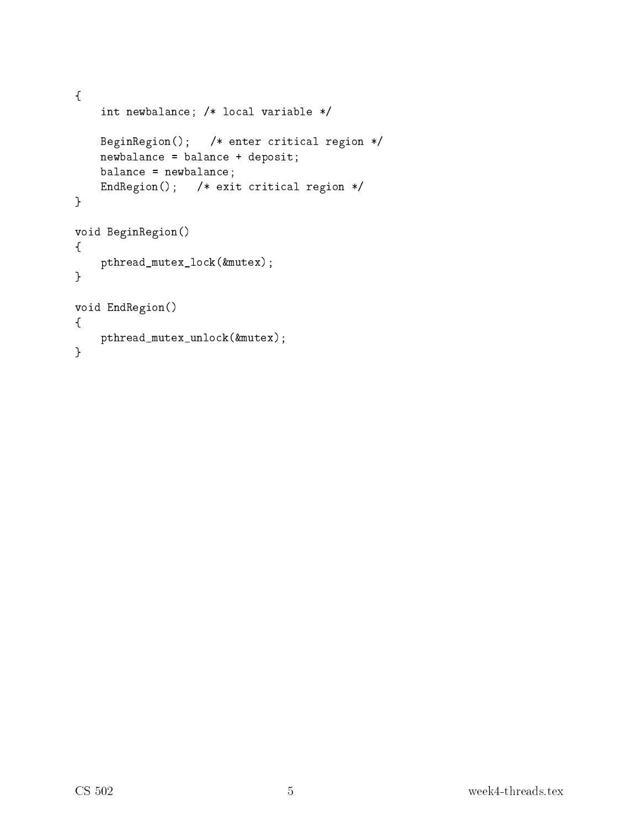```
{
    int newbalan
e; /* lo
al variable */
    BeginRegion(); /* enter critical region */
    newbalan
e = balan
e + deposit;
    balan
e = newbalan
e;
    EndRegion(); /* exit critical region */
}
void BeginRegion()
{
    pthread_mutex_lo
k(&mutex);
\mathcal{F}}
void EndRegion()
\mathcal{L}pthread_mutex_unlo
k(&mutex);
\mathcal{F}}
```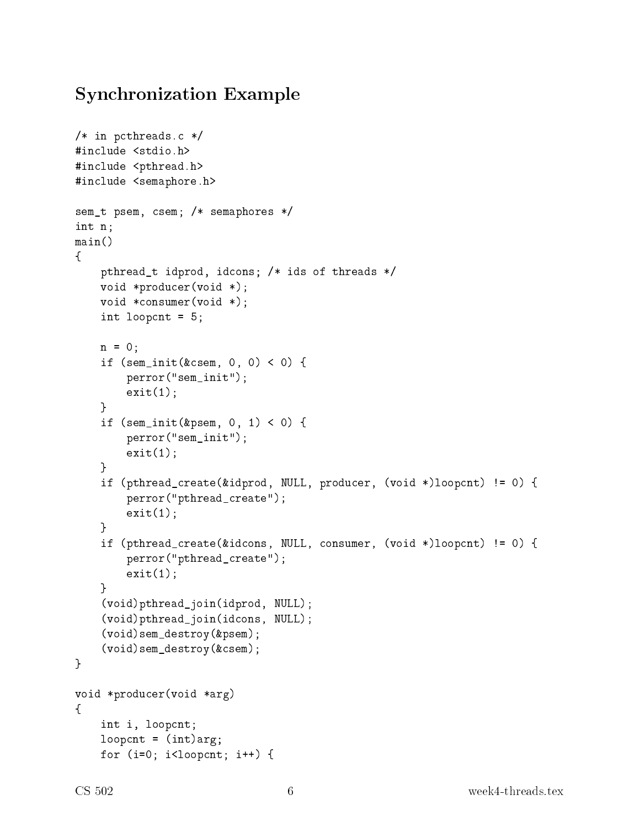## Syn
hronization Example

```
/* in pcthreads.c */
#in
lude <stdio.h>
#include <pthread.h>
#in
lude <semaphore.h>
sem_t psem, 
sem; /* semaphores */
int n;
main()
\mathcal{F}\simpthread_t idprod, idcons; /* ids of threads */
    void *produ
er(void *);
    void *
onsumer(void *);
    int loop
nt = 5;
    n = 0;
    if (\text{sem}_\text{init}(\&amp; \text{csem}, 0, 0) < 0) {
         perror("sem_init");
         exit(1);\mathcal{F}}
    if (\text{sem}_\text{init}(\text{kgsem}_1, 0, 1) < 0) {
         perror("sem_init");
         exit(1);\mathcal{F}}
    if (pthread_create(&idprod, NULL, producer, (void *)loopcnt) != 0) {
         perror("pthread_create");
         exit(1);}
    if (pthread_create(&idcons, NULL, consumer, (void *)loopcnt) != 0) {
         perror("pthread_create");
         exit(1);ኑ
     }
     (void)pthread_join(idprod, NULL);
     (void)pthread_join(id
ons, NULL);
     (void)sem_destroy(&psem);
     (void)sem_destroy(&
sem);
}
void *produ
er(void *arg)
\mathcal{L}\simint i, loop
nt;
    loopcnt = (int)arg;for (i=0; i<sub>loopcnt</sub>; i++) {
```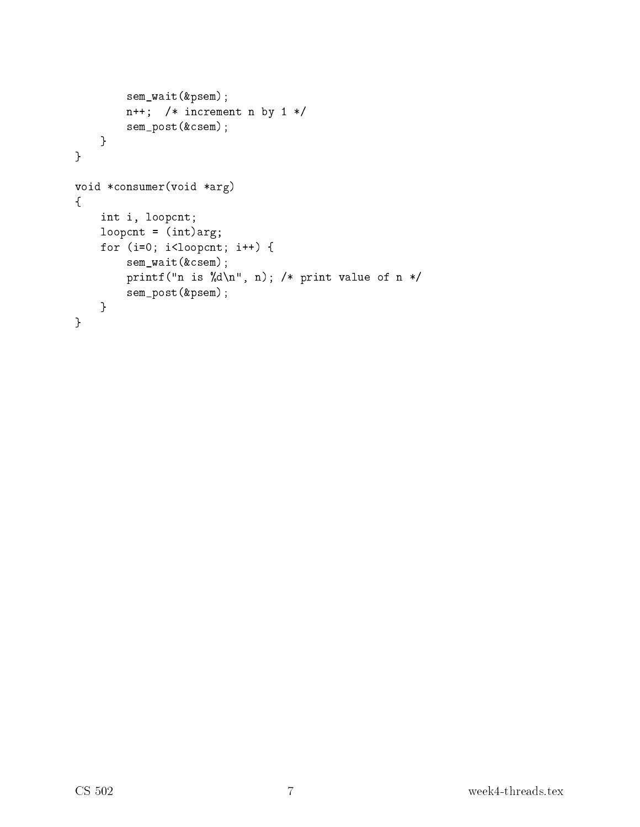```
sem_wait(&psem);
        n++; /* in
rement n by 1 */
        sem_post(&
sem);
    }
}
void *
onsumer(void *arg)
{
   int i, loop
nt;
   loopcnt = (int)arg;for (i=0; i<loopcnt; i++) {
        sem_wait(&
sem);
        printf("n is %d\n", n); /* print value of n */
        sem_post(&psem);
   }
}
```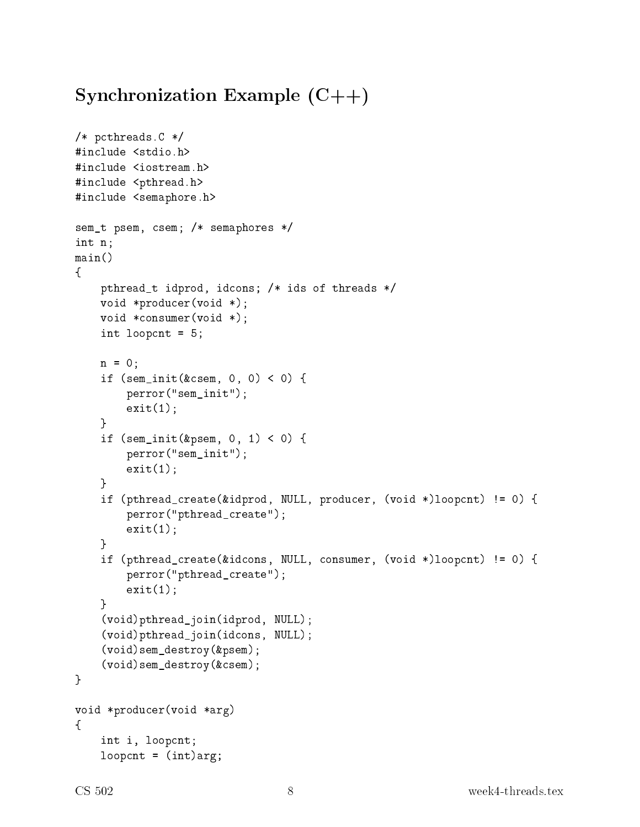# Syn
hronization Example (C++)

```
/* p
threads.C */
#in
lude <stdio.h>
#in
lude <iostream.h>
#include <pthread.h>
#in
lude <semaphore.h>
sem_t psem, 
sem; /* semaphores */
int n;
main()
\left\{ \right.\simpthread_t idprod, idcons; /* ids of threads */
    void *produ
er(void *);
    void *
onsumer(void *);
    int loop
nt = 5;
    n = 0;if (\text{sem}_\text{init}(\&amp; \text{csem}, 0, 0) < 0) {
         perror("sem_init");
         exit(1);}
    if (\text{sem}_\text{init}(\text{kgsem}, 0, 1) < 0) {
         perror("sem_init");
         exit(1);}
    if (pthread_create(&idprod, NULL, producer, (void *)loopcnt) != 0) {
         perror("pthread_create");
         exit(1);}
    if (pthread_create(&idcons, NULL, consumer, (void *)loopcnt) != 0) {
         perror("pthread_create");
         exit(1);}
     (void)pthread_join(idprod, NULL);
     (void)pthread_join(id
ons, NULL);
     (void)sem_destroy(&psem);
     (void)sem_destroy(&
sem);
\mathcal{F}}
void *produ
er(void *arg)
\left\{ \right.\simint i, loop
nt;
    loopcnt = (int)arg;
```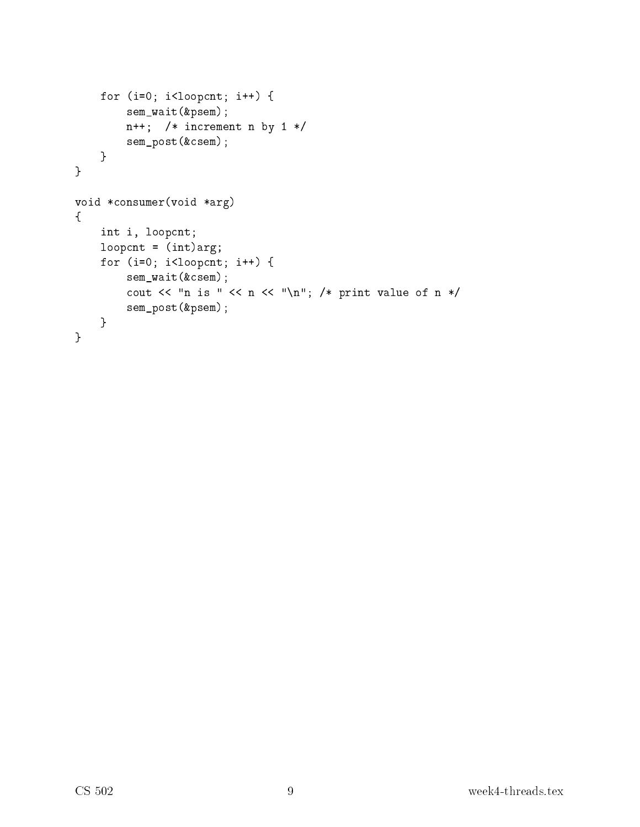```
for (i=0; i<loopcnt; i++) {
        sem_wait(&psem);
        n++; /* increment n by 1 */
        sem_post(&
sem);
    }
}
void *
onsumer(void *arg)
{
    int i, loop
nt;
    loopcnt = (int)arg;for (i=0; i<loopcnt; i++) {
        sem_wait(&
sem);
        cout \lt\lt "n is " \lt\lt n \lt\lt "\n"; /* print value of n */
        sem_post(&psem);
    }
}
```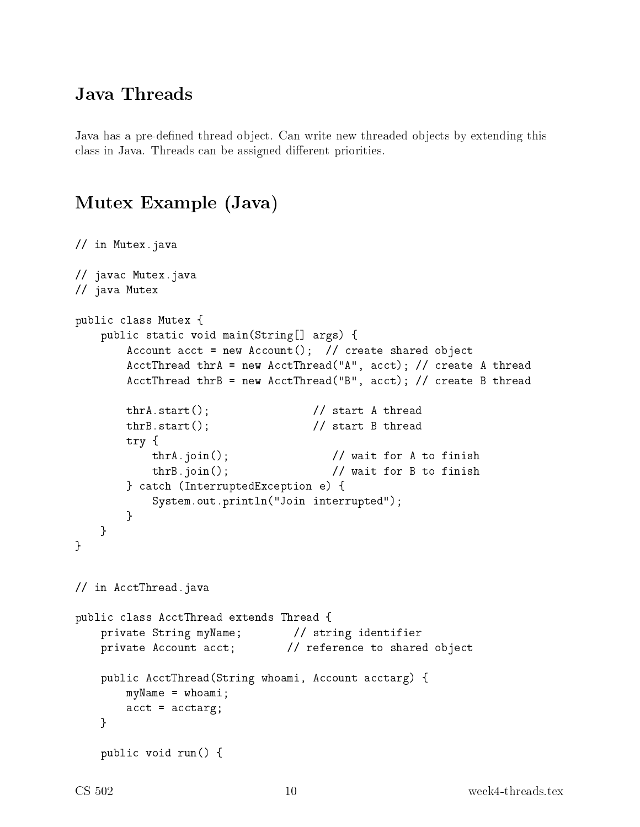## Java Threads

Java has <sup>a</sup> pre-dened thread obje
t. Can write new threaded obje
ts by extending this lass in Java. Threads an be assigned dierent priorities.

## Mutex Example (Java)

```
// in Mutex.java
// java
 Mutex.java
// java Mutex
public class Mutex {
    public static void main(String[] args) {
        Account acct = new Account(); // create shared object
        AcctThread thrA = new AcctThread("A", acct); // create A thread
        AcctThread thrB = new AcctThread("B", acct); // create B thread
                                     // start A thread
        thrA.start();
        thrB.start(); \frac{1}{2} // start B thread
        try {
           thrA.join(); // wait for A to finish
           thrB.join(); // wait for B to finish
        } 
at
h (InterruptedEx
eption e) {
            System.out.println("Join interrupted");
        \mathcal{F}}
    }
}
// in AcctThread.java
public class AcctThread extends Thread {
    private String myName; // string identifier
   private Account acct; \frac{1}{\sqrt{2}} reference to shared object
    public AcctThread(String whoami, Account acctarg) {
        myName = whoami;
        \text{acct} = \text{acctarg};}
    publi
 void run() {
```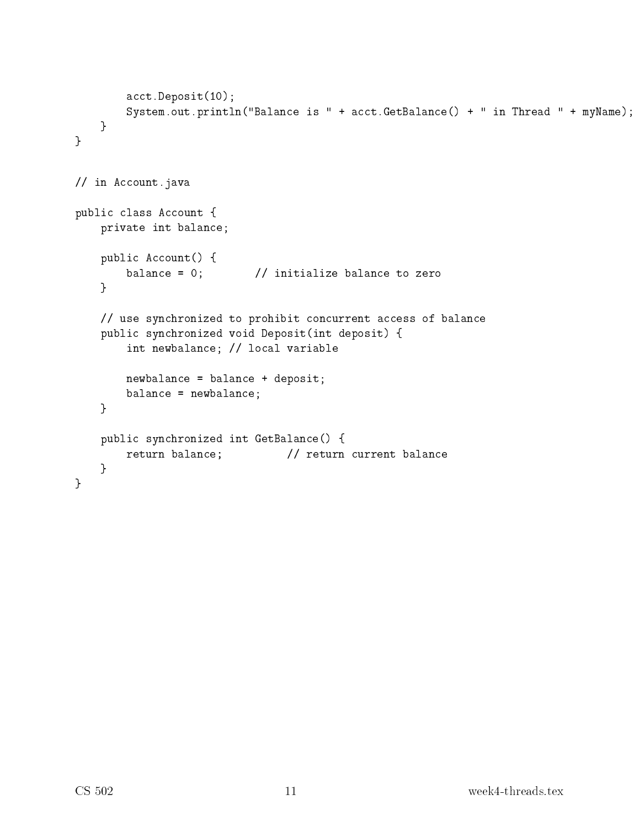```
acct.Deposit(10);
        System.out.println("Balance is " + acct.GetBalance() + " in Thread " + myName);
    }
}
// in Account.java
public class Account {
   private int balan
e;
    public Account() {
        balance = 0; \frac{1}{1} initialize balance to zero
    }
    // use synchronized to prohibit concurrent access of balance
   public synchronized void Deposit(int deposit) {
        int newbalan
e; // lo
al variable
        newbalan
e = balan
e + deposit;
        balan
e = newbalan
e;
    }
    public synchronized int GetBalance() {
        return balance; // return current balance
    }
\mathcal{F}}
```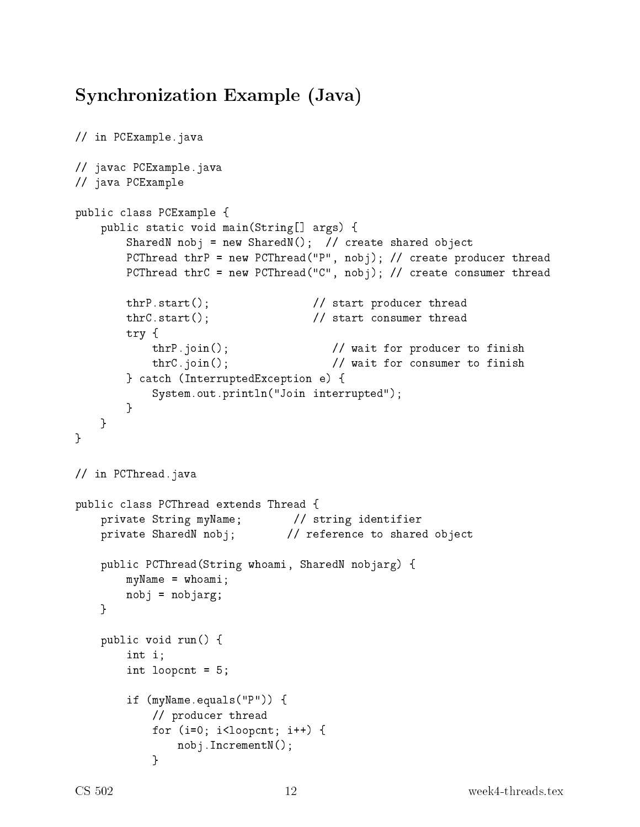# Syn
hronization Example (Java)

```
// in PCExample.java
// java
 PCExample.java
// java PCExample
public class PCExample {
    public static void main(String[] args) {
        SharedN nobj = new SharedN(); // create shared object
        PCThread thrP = new PCThread("P", nobj); // create producer thread
        PCThread thrC = new PCThread ("C", nobj); // create consumer thread
        thrP.start(); \frac{1}{2} // start producer thread
        thrC.start(); \frac{1}{2} // start consumer thread
        try {
            thrP.join(); \frac{1}{2} // wait for producer to finish
            thrC.join(); \frac{1}{2} // wait for consumer to finish
        } 
at
h (InterruptedEx
eption e) {
            System.out.println("Join interrupted");
        }
    }
λ,
}
// in PCThread.java
public class PCThread extends Thread {
    private String myName; // string identifier
    private SharedN nobj; \frac{1}{2} reference to shared object
    publi
 PCThread(String whoami, SharedN nobjarg) {
        myName = whoami;
        nobj = nobjarg;
    P.
    }
    publi
 void run() {
        int i;
        int loop
nt = 5;
        if (myName.equals("P")) {
            // produ
er thread
            for (i=0; i<l>loopcnt; i++) {
                nobj.IncrementN();
            \mathcal{L}}
```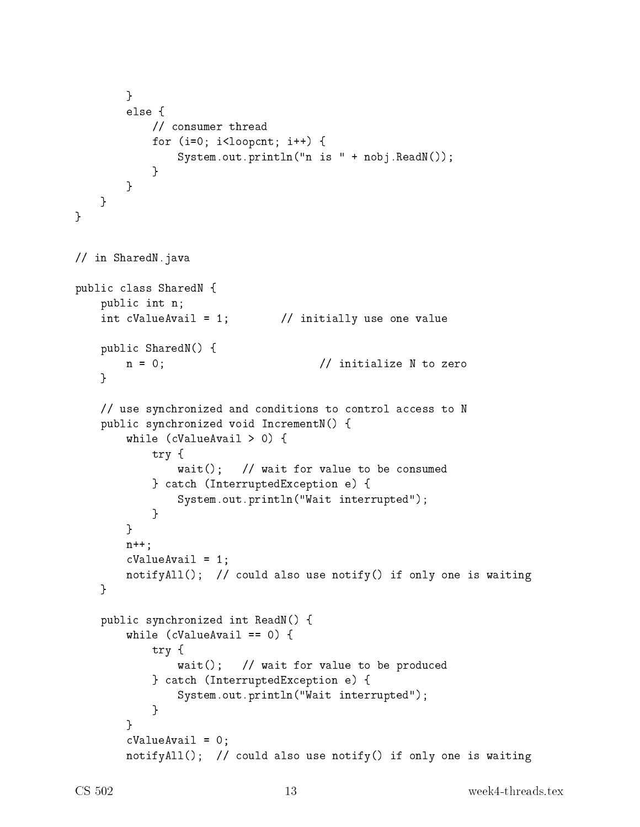```
}
           else f
            else and the contract of the contract of the contract of the contract of the contract of the contract of the contract of the contract of the contract of the contract of the contract of the contract of the contract of the c
                 // 
onsumer thread
                 for (i=0; i<1oopcnt; i++) {
                       System.out.println("n is " + nobj.ReadN());
                 \mathcal{F}}
           }
     }
}
// in SharedN.java
public class SharedN {
     publi
 int n;
     int cValueAvail = 1; \frac{1}{1} initially use one value
     publi
 SharedN() {
            n an originalize N to zero in the contract \sim 0, \sim 0, \sim 0, \sim 0, \sim 0, \sim 0, \sim 0, \sim 0, \sim 0, \sim 0, \sim 0, \sim 0, \sim 0, \sim 0, \sim 0, \sim 0, \sim 0, \sim 0, \sim 0, \sim 0, \sim 0, \sim 0, \sim\mathcal{F}}
     // use synchronized and conditions to control access to N
     publi
 syn
hronized void In
rementN() {
           while (
ValueAvail > 0) {
                 try {
                       wait(); // wait for value to be consumed
                 } 
at
h (InterruptedEx
eption e) {
                       System.out.println("Wait interrupted");
                 }
           }
           n++;
           cValueAvail = 1;
           notifyAll(); // could also use notify() if only one is waiting
      }
     public synchronized int ReadN() {
           while (
ValueAvail == 0) {
                 try {
                       wait(); // wait for value to be produced
                 } 
at
h (InterruptedEx
eption e) {
                       System.out.println("Wait interrupted");
                  }
           \mathcal{F}}
           cValueAvail = 0;notifyAll(); // could also use notify() if only one is waiting
```